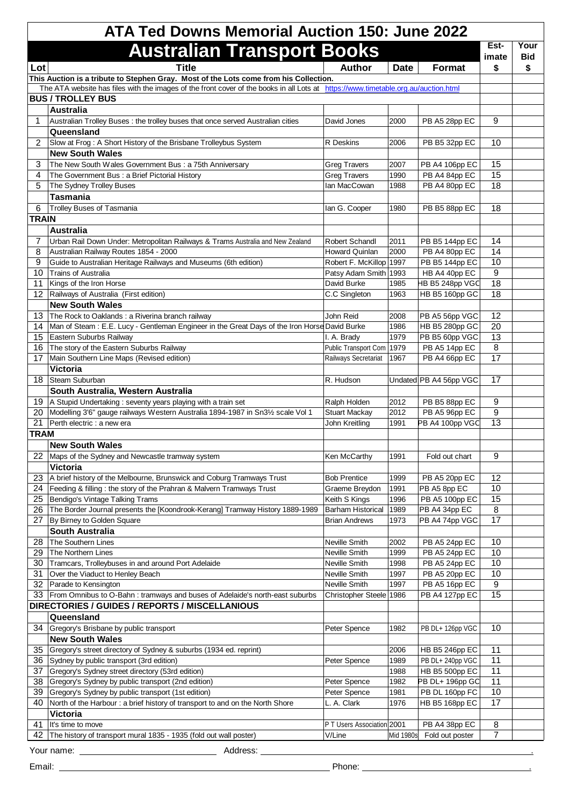| <b>ATA Ted Downs Memorial Auction 150: June 2022</b> |                                                                                                                                                                                                                             |                                                  |              |                                 |              |            |
|------------------------------------------------------|-----------------------------------------------------------------------------------------------------------------------------------------------------------------------------------------------------------------------------|--------------------------------------------------|--------------|---------------------------------|--------------|------------|
|                                                      | <b>Australian Transport Books</b>                                                                                                                                                                                           |                                                  |              |                                 | Est-         | Your       |
|                                                      |                                                                                                                                                                                                                             |                                                  |              |                                 | imate        | <b>Bid</b> |
| Lot                                                  | <b>Title</b>                                                                                                                                                                                                                | <b>Author</b>                                    | <b>Date</b>  | <b>Format</b>                   | \$           | \$         |
|                                                      | This Auction is a tribute to Stephen Gray. Most of the Lots come from his Collection.<br>The ATA website has files with the images of the front cover of the books in all Lots at https://www.timetable.org.au/auction.html |                                                  |              |                                 |              |            |
|                                                      | <b>BUS / TROLLEY BUS</b>                                                                                                                                                                                                    |                                                  |              |                                 |              |            |
|                                                      | <b>Australia</b>                                                                                                                                                                                                            |                                                  |              |                                 |              |            |
| 1                                                    | Australian Trolley Buses: the trolley buses that once served Australian cities                                                                                                                                              | David Jones                                      | 2000         | PB A5 28pp EC                   | 9            |            |
|                                                      | Queensland                                                                                                                                                                                                                  |                                                  |              |                                 |              |            |
| 2                                                    | Slow at Frog: A Short History of the Brisbane Trolleybus System                                                                                                                                                             | <b>R</b> Deskins                                 | 2006         | PB B5 32pp EC                   | 10           |            |
| 3                                                    | <b>New South Wales</b><br>The New South Wales Government Bus: a 75th Anniversary                                                                                                                                            | <b>Greg Travers</b>                              | 2007         | PB A4 106pp EC                  | 15           |            |
| 4                                                    | The Government Bus : a Brief Pictorial History                                                                                                                                                                              | <b>Greg Travers</b>                              | 1990         | PB A4 84pp EC                   | 15           |            |
| 5                                                    | The Sydney Trolley Buses                                                                                                                                                                                                    | Ian MacCowan                                     | 1988         | PB A4 80pp EC                   | 18           |            |
|                                                      | <b>Tasmania</b>                                                                                                                                                                                                             |                                                  |              |                                 |              |            |
| 6                                                    | <b>Trolley Buses of Tasmania</b>                                                                                                                                                                                            | lan G. Cooper                                    | 1980         | PB B5 88pp EC                   | 18           |            |
| <b>TRAIN</b>                                         |                                                                                                                                                                                                                             |                                                  |              |                                 |              |            |
|                                                      | <b>Australia</b>                                                                                                                                                                                                            |                                                  |              |                                 |              |            |
| 7                                                    | Urban Rail Down Under: Metropolitan Railways & Trams Australia and New Zealand                                                                                                                                              | <b>Robert Schandl</b>                            | 2011         | PB B5 144pp EC                  | 14           |            |
| 8                                                    | Australian Railway Routes 1854 - 2000                                                                                                                                                                                       | <b>Howard Quinlan</b>                            | 2000         | PB A4 80pp EC                   | 14<br>10     |            |
| 9<br>10 <sup>°</sup>                                 | Guide to Australian Heritage Railways and Museums (6th edition)<br>Trains of Australia                                                                                                                                      | Robert F. McKillop 1997<br>Patsy Adam Smith 1993 |              | PB B5 144pp EC<br>HB A4 40pp EC | 9            |            |
| 11                                                   | Kings of the Iron Horse                                                                                                                                                                                                     | David Burke                                      | 1985         | HB B5 248pp VGC                 | 18           |            |
| 12 <sup>2</sup>                                      | Railways of Australia (First edition)                                                                                                                                                                                       | C.C Singleton                                    | 1963         | HB B5 160pp GC                  | 18           |            |
|                                                      | <b>New South Wales</b>                                                                                                                                                                                                      |                                                  |              |                                 |              |            |
| 13                                                   | The Rock to Oaklands: a Riverina branch railway                                                                                                                                                                             | John Reid                                        | 2008         | PB A5 56pp VGC                  | 12           |            |
|                                                      | 14   Man of Steam : E.E. Lucy - Gentleman Engineer in the Great Days of the Iron Horse David Burke                                                                                                                          |                                                  | 1986         | HB B5 280pp GC                  | 20           |            |
| 15                                                   | Eastern Suburbs Railway                                                                                                                                                                                                     | I. A. Brady                                      | 1979         | PB B5 60pp VGC                  | 13           |            |
| 16                                                   | The story of the Eastern Suburbs Railway                                                                                                                                                                                    | Public Transport Com 1979                        |              | PB A5 14pp EC                   | $\, 8$       |            |
| 17                                                   | Main Southern Line Maps (Revised edition)                                                                                                                                                                                   | Railways Secretariat                             | 1967         | PB A4 66pp EC                   | 17           |            |
|                                                      | Victoria                                                                                                                                                                                                                    |                                                  |              |                                 |              |            |
| 18                                                   | Steam Suburban<br>South Australia, Western Australia                                                                                                                                                                        | R. Hudson                                        |              | Undated PB A4 56pp VGC          | 17           |            |
|                                                      | 19 A Stupid Undertaking: seventy years playing with a train set                                                                                                                                                             | Ralph Holden                                     | 2012         | PB B5 88pp EC                   | 9            |            |
|                                                      | 20 Modelling 3'6" gauge railways Western Australia 1894-1987 in Sn31/2 scale Vol 1                                                                                                                                          | <b>Stuart Mackay</b>                             | 2012         | PB A5 96pp EC                   | 9            |            |
| 21                                                   | Perth electric : a new era                                                                                                                                                                                                  | John Kreitling                                   | 1991         | PB A4 100pp VGC                 | 13           |            |
| <b>TRAM</b>                                          |                                                                                                                                                                                                                             |                                                  |              |                                 |              |            |
|                                                      | <b>New South Wales</b>                                                                                                                                                                                                      |                                                  |              |                                 |              |            |
|                                                      | 22 Maps of the Sydney and Newcastle tramway system                                                                                                                                                                          | Ken McCarthy                                     | 1991         | Fold out chart                  | 9            |            |
|                                                      | Victoria                                                                                                                                                                                                                    |                                                  |              |                                 |              |            |
| 23                                                   | A brief history of the Melbourne, Brunswick and Coburg Tramways Trust                                                                                                                                                       | <b>Bob Prentice</b>                              | 1999         | PB A5 20pp EC                   | 12           |            |
| 24                                                   | Feeding & filling: the story of the Prahran & Malvern Tramways Trust                                                                                                                                                        | Graeme Breydon                                   | 1991         | PB A5 8pp EC                    | $10$         |            |
| 25<br>26                                             | Bendigo's Vintage Talking Trams<br>The Border Journal presents the [Koondrook-Kerang] Tramway History 1889-1989                                                                                                             | Keith S Kings<br><b>Barham Historical</b>        | 1996<br>1989 | PB A5 100pp EC<br>PB A4 34pp EC | 15<br>$\, 8$ |            |
| 27                                                   | By Birney to Golden Square                                                                                                                                                                                                  | <b>Brian Andrews</b>                             | 1973         | PB A4 74pp VGC                  | 17           |            |
|                                                      | <b>South Australia</b>                                                                                                                                                                                                      |                                                  |              |                                 |              |            |
| 28                                                   | The Southern Lines                                                                                                                                                                                                          | Neville Smith                                    | 2002         | PB A5 24pp EC                   | 10           |            |
| 29                                                   | The Northern Lines                                                                                                                                                                                                          | Neville Smith                                    | 1999         | PB A5 24pp EC                   | 10           |            |
| 30                                                   | Tramcars, Trolleybuses in and around Port Adelaide                                                                                                                                                                          | Neville Smith                                    | 1998         | PB A5 24pp EC                   | 10           |            |
| 31                                                   | Over the Viaduct to Henley Beach                                                                                                                                                                                            | Neville Smith                                    | 1997         | PB A5 20pp EC                   | 10           |            |
| 32                                                   | Parade to Kensington                                                                                                                                                                                                        | Neville Smith                                    | 1997         | PB A5 16pp EC                   | 9            |            |
| 33                                                   | From Omnibus to O-Bahn: tramways and buses of Adelaide's north-east suburbs                                                                                                                                                 | Christopher Steele 1986                          |              | PB A4 127pp EC                  | 15           |            |
|                                                      | DIRECTORIES / GUIDES / REPORTS / MISCELLANIOUS<br>Queensland                                                                                                                                                                |                                                  |              |                                 |              |            |
| 34                                                   | Gregory's Brisbane by public transport                                                                                                                                                                                      | Peter Spence                                     | 1982         | PB DL+ 126pp VGC                | 10           |            |
|                                                      | <b>New South Wales</b>                                                                                                                                                                                                      |                                                  |              |                                 |              |            |
| 35                                                   | Gregory's street directory of Sydney & suburbs (1934 ed. reprint)                                                                                                                                                           |                                                  | 2006         | HB B5 246pp EC                  | 11           |            |
| 36                                                   | Sydney by public transport (3rd edition)                                                                                                                                                                                    | Peter Spence                                     | 1989         | PB DL+ 240pp VGC                | 11           |            |
| 37                                                   | Gregory's Sydney street directory (53rd edition)                                                                                                                                                                            |                                                  | 1988         | HB B5 500pp EC                  | 11           |            |
| 38                                                   | Gregory's Sydney by public transport (2nd edition)                                                                                                                                                                          | Peter Spence                                     | 1982         | PB DL+ 196pp GC                 | 11           |            |
| 39                                                   | Gregory's Sydney by public transport (1st edition)                                                                                                                                                                          | Peter Spence                                     | 1981         | PB DL 160pp FC                  | 10           |            |
| 40                                                   | North of the Harbour: a brief history of transport to and on the North Shore                                                                                                                                                | L. A. Clark                                      | 1976         | HB B5 168pp EC                  | 17           |            |
|                                                      | Victoria                                                                                                                                                                                                                    |                                                  |              |                                 |              |            |
| 41                                                   | It's time to move                                                                                                                                                                                                           | P T Users Association 2001                       |              | PB A4 38pp EC                   | 8            |            |
| 42                                                   | The history of transport mural 1835 - 1935 (fold out wall poster)                                                                                                                                                           | V/Line                                           | Mid 1980s    | Fold out poster                 | 7            |            |
|                                                      | Address:<br>Your name:                                                                                                                                                                                                      |                                                  |              |                                 |              |            |